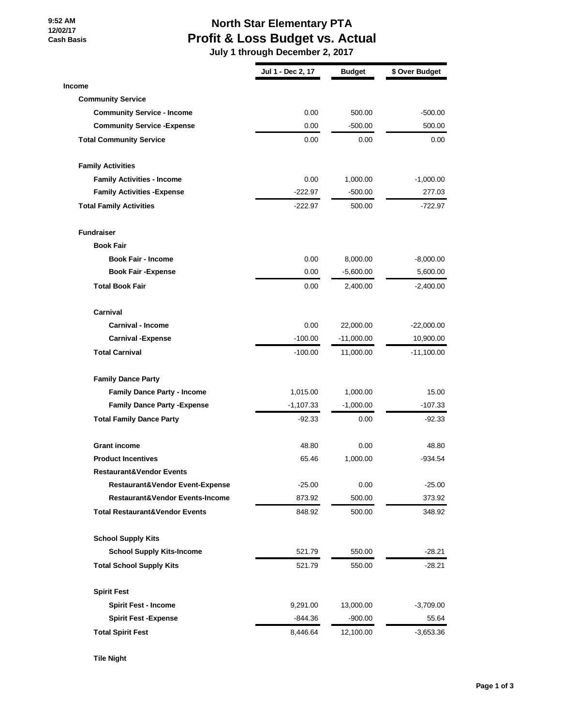**9:52 AM 12/02/17 Cash Basis**

## **North Star Elementary PTA Profit & Loss Budget vs. Actual**

 **July 1 through December 2, 2017**

|                                           | Jul 1 - Dec 2, 17 | Budget       | \$ Over Budget |
|-------------------------------------------|-------------------|--------------|----------------|
| <b>Income</b>                             |                   |              |                |
| <b>Community Service</b>                  |                   |              |                |
| <b>Community Service - Income</b>         | 0.00              | 500.00       | $-500.00$      |
| <b>Community Service - Expense</b>        | 0.00              | $-500.00$    | 500.00         |
| <b>Total Community Service</b>            | 0.00              | 0.00         | 0.00           |
| <b>Family Activities</b>                  |                   |              |                |
| <b>Family Activities - Income</b>         | 0.00              | 1,000.00     | $-1,000.00$    |
| <b>Family Activities - Expense</b>        | $-222.97$         | $-500.00$    | 277.03         |
| <b>Total Family Activities</b>            | $-222.97$         | 500.00       | -722.97        |
| <b>Fundraiser</b>                         |                   |              |                |
| <b>Book Fair</b>                          |                   |              |                |
| <b>Book Fair - Income</b>                 | 0.00              | 8,000.00     | $-8,000.00$    |
| <b>Book Fair -Expense</b>                 | 0.00              | $-5,600.00$  | 5,600.00       |
| <b>Total Book Fair</b>                    | 0.00              | 2,400.00     | -2,400.00      |
| Carnival                                  |                   |              |                |
| <b>Carnival - Income</b>                  | 0.00              | 22,000.00    | $-22,000.00$   |
| <b>Carnival -Expense</b>                  | $-100.00$         | $-11,000.00$ | 10,900.00      |
| <b>Total Carnival</b>                     | $-100.00$         | 11,000.00    | $-11,100.00$   |
| <b>Family Dance Party</b>                 |                   |              |                |
| <b>Family Dance Party - Income</b>        | 1,015.00          | 1,000.00     | 15.00          |
| <b>Family Dance Party - Expense</b>       | $-1,107.33$       | $-1,000.00$  | $-107.33$      |
| <b>Total Family Dance Party</b>           | $-92.33$          | 0.00         | $-92.33$       |
| <b>Grant income</b>                       | 48.80             | 0.00         | 48.80          |
| <b>Product Incentives</b>                 | 65.46             | 1,000.00     | $-934.54$      |
| <b>Restaurant&amp;Vendor Events</b>       |                   |              |                |
| Restaurant&Vendor Event-Expense           | $-25.00$          | 0.00         | $-25.00$       |
| Restaurant&Vendor Events-Income           | 873.92            | 500.00       | 373.92         |
| <b>Total Restaurant&amp;Vendor Events</b> | 848.92            | 500.00       | 348.92         |
| <b>School Supply Kits</b>                 |                   |              |                |
| <b>School Supply Kits-Income</b>          | 521.79            | 550.00       | $-28.21$       |
| <b>Total School Supply Kits</b>           | 521.79            | 550.00       | -28.21         |
| <b>Spirit Fest</b>                        |                   |              |                |
| <b>Spirit Fest - Income</b>               | 9,291.00          | 13,000.00    | $-3,709.00$    |
| <b>Spirit Fest -Expense</b>               | -844.36           | $-900.00$    | 55.64          |
| <b>Total Spirit Fest</b>                  | 8,446.64          | 12,100.00    | -3,653.36      |

**Tile Night**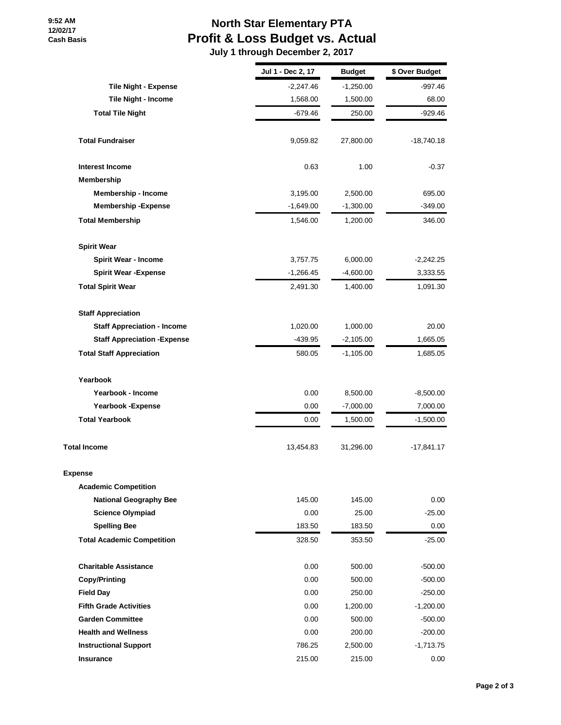## **North Star Elementary PTA Profit & Loss Budget vs. Actual**

 **July 1 through December 2, 2017**

|                                     | Jul 1 - Dec 2, 17 | <b>Budget</b> | \$ Over Budget |
|-------------------------------------|-------------------|---------------|----------------|
| <b>Tile Night - Expense</b>         | $-2,247.46$       | $-1,250.00$   | -997.46        |
| Tile Night - Income                 | 1,568.00          | 1,500.00      | 68.00          |
| <b>Total Tile Night</b>             | -679.46           | 250.00        | -929.46        |
| <b>Total Fundraiser</b>             | 9,059.82          | 27,800.00     | -18,740.18     |
| <b>Interest Income</b>              | 0.63              | 1.00          | $-0.37$        |
| Membership                          |                   |               |                |
| Membership - Income                 | 3,195.00          | 2,500.00      | 695.00         |
| <b>Membership - Expense</b>         | $-1,649.00$       | $-1,300.00$   | $-349.00$      |
| <b>Total Membership</b>             | 1,546.00          | 1,200.00      | 346.00         |
| <b>Spirit Wear</b>                  |                   |               |                |
| <b>Spirit Wear - Income</b>         | 3,757.75          | 6,000.00      | $-2,242.25$    |
| <b>Spirit Wear -Expense</b>         | $-1,266.45$       | $-4,600.00$   | 3,333.55       |
| <b>Total Spirit Wear</b>            | 2,491.30          | 1,400.00      | 1,091.30       |
| <b>Staff Appreciation</b>           |                   |               |                |
| <b>Staff Appreciation - Income</b>  | 1,020.00          | 1,000.00      | 20.00          |
| <b>Staff Appreciation - Expense</b> | $-439.95$         | $-2,105.00$   | 1,665.05       |
| <b>Total Staff Appreciation</b>     | 580.05            | $-1,105.00$   | 1,685.05       |
| Yearbook                            |                   |               |                |
| Yearbook - Income                   | 0.00              | 8,500.00      | $-8,500.00$    |
| Yearbook - Expense                  | 0.00              | $-7,000.00$   | 7,000.00       |
| <b>Total Yearbook</b>               | 0.00              | 1,500.00      | $-1,500.00$    |
| <b>Total Income</b>                 | 13,454.83         | 31,296.00     | -17,841.17     |
| Expense                             |                   |               |                |
| <b>Academic Competition</b>         |                   |               |                |
| <b>National Geography Bee</b>       | 145.00            | 145.00        | 0.00           |
| <b>Science Olympiad</b>             | 0.00              | 25.00         | $-25.00$       |
| <b>Spelling Bee</b>                 | 183.50            | 183.50        | 0.00           |
| <b>Total Academic Competition</b>   | 328.50            | 353.50        | $-25.00$       |
| <b>Charitable Assistance</b>        | 0.00              | 500.00        | $-500.00$      |
| <b>Copy/Printing</b>                | 0.00              | 500.00        | $-500.00$      |
| <b>Field Day</b>                    | 0.00              | 250.00        | $-250.00$      |
| <b>Fifth Grade Activities</b>       | 0.00              | 1,200.00      | $-1,200.00$    |
| <b>Garden Committee</b>             | 0.00              | 500.00        | $-500.00$      |
| <b>Health and Wellness</b>          | 0.00              | 200.00        | $-200.00$      |
| <b>Instructional Support</b>        | 786.25            | 2,500.00      | $-1,713.75$    |
| Insurance                           | 215.00            | 215.00        | 0.00           |